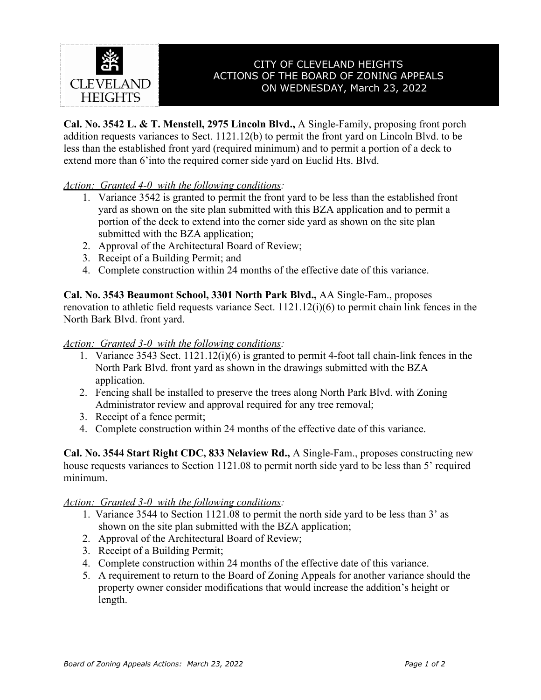

# CITY OF CLEVELAND HEIGHTS ACTIONS OF THE BOARD OF ZONING APPEALS ON WEDNESDAY, March 23, 2022

**Cal. No. 3542 L. & T. Menstell, 2975 Lincoln Blvd.,** A Single-Family, proposing front porch addition requests variances to Sect. 1121.12(b) to permit the front yard on Lincoln Blvd. to be less than the established front yard (required minimum) and to permit a portion of a deck to extend more than 6'into the required corner side yard on Euclid Hts. Blvd.

## *Action: Granted 4-0 with the following conditions:*

- 1. Variance 3542 is granted to permit the front yard to be less than the established front yard as shown on the site plan submitted with this BZA application and to permit a portion of the deck to extend into the corner side yard as shown on the site plan submitted with the BZA application;
- 2. Approval of the Architectural Board of Review;
- 3. Receipt of a Building Permit; and
- 4. Complete construction within 24 months of the effective date of this variance.

**Cal. No. 3543 Beaumont School, 3301 North Park Blvd.,** AA Single-Fam., proposes renovation to athletic field requests variance Sect. 1121.12(i)(6) to permit chain link fences in the North Bark Blvd. front yard.

#### *Action: Granted 3-0 with the following conditions:*

- 1. Variance 3543 Sect. 1121.12(i)(6) is granted to permit 4-foot tall chain-link fences in the North Park Blvd. front yard as shown in the drawings submitted with the BZA application.
- 2. Fencing shall be installed to preserve the trees along North Park Blvd. with Zoning Administrator review and approval required for any tree removal;
- 3. Receipt of a fence permit;
- 4. Complete construction within 24 months of the effective date of this variance.

**Cal. No. 3544 Start Right CDC, 833 Nelaview Rd.,** A Single-Fam., proposes constructing new house requests variances to Section 1121.08 to permit north side yard to be less than 5' required minimum.

#### *Action: Granted 3-0 with the following conditions:*

- 1. Variance 3544 to Section 1121.08 to permit the north side yard to be less than 3' as shown on the site plan submitted with the BZA application;
- 2. Approval of the Architectural Board of Review;
- 3. Receipt of a Building Permit;
- 4. Complete construction within 24 months of the effective date of this variance.
- 5. A requirement to return to the Board of Zoning Appeals for another variance should the property owner consider modifications that would increase the addition's height or length.